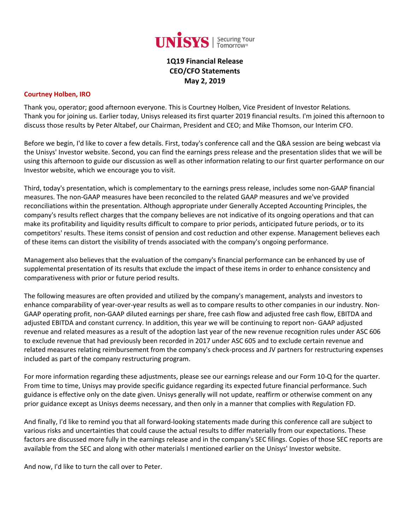

**1Q19 Financial Release CEO/CFO Statements May 2, 2019**

#### **Courtney Holben, IRO**

Thank you, operator; good afternoon everyone. This is Courtney Holben, Vice President of Investor Relations. Thank you for joining us. Earlier today, Unisys released its first quarter 2019 financial results. I'm joined this afternoon to discuss those results by Peter Altabef, our Chairman, President and CEO; and Mike Thomson, our Interim CFO.

Before we begin, I'd like to cover a few details. First, today's conference call and the Q&A session are being webcast via the Unisys' Investor website. Second, you can find the earnings press release and the presentation slides that we will be using this afternoon to guide our discussion as well as other information relating to our first quarter performance on our Investor website, which we encourage you to visit.

Third, today's presentation, which is complementary to the earnings press release, includes some non-GAAP financial measures. The non-GAAP measures have been reconciled to the related GAAP measures and we've provided reconciliations within the presentation. Although appropriate under Generally Accepted Accounting Principles, the company's results reflect charges that the company believes are not indicative of its ongoing operations and that can make its profitability and liquidity results difficult to compare to prior periods, anticipated future periods, or to its competitors' results. These items consist of pension and cost reduction and other expense. Management believes each of these items can distort the visibility of trends associated with the company's ongoing performance.

Management also believes that the evaluation of the company's financial performance can be enhanced by use of supplemental presentation of its results that exclude the impact of these items in order to enhance consistency and comparativeness with prior or future period results.

The following measures are often provided and utilized by the company's management, analysts and investors to enhance comparability of year-over-year results as well as to compare results to other companies in our industry. Non-GAAP operating profit, non-GAAP diluted earnings per share, free cash flow and adjusted free cash flow, EBITDA and adjusted EBITDA and constant currency. In addition, this year we will be continuing to report non- GAAP adjusted revenue and related measures as a result of the adoption last year of the new revenue recognition rules under ASC 606 to exclude revenue that had previously been recorded in 2017 under ASC 605 and to exclude certain revenue and related measures relating reimbursement from the company's check-process and JV partners for restructuring expenses included as part of the company restructuring program.

For more information regarding these adjustments, please see our earnings release and our Form 10-Q for the quarter. From time to time, Unisys may provide specific guidance regarding its expected future financial performance. Such guidance is effective only on the date given. Unisys generally will not update, reaffirm or otherwise comment on any prior guidance except as Unisys deems necessary, and then only in a manner that complies with Regulation FD.

And finally, I'd like to remind you that all forward-looking statements made during this conference call are subject to various risks and uncertainties that could cause the actual results to differ materially from our expectations. These factors are discussed more fully in the earnings release and in the company's SEC filings. Copies of those SEC reports are available from the SEC and along with other materials I mentioned earlier on the Unisys' Investor website.

And now, I'd like to turn the call over to Peter.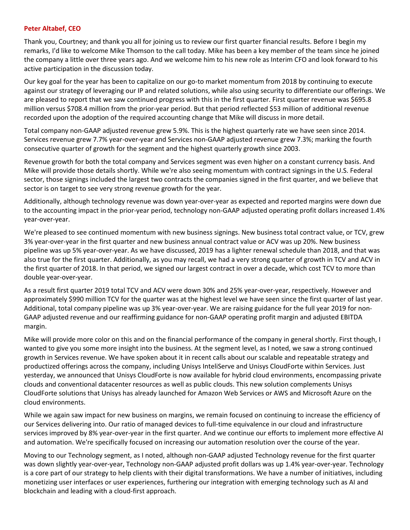#### **Peter Altabef, CEO**

Thank you, Courtney; and thank you all for joining us to review our first quarter financial results. Before I begin my remarks, I'd like to welcome Mike Thomson to the call today. Mike has been a key member of the team since he joined the company a little over three years ago. And we welcome him to his new role as Interim CFO and look forward to his active participation in the discussion today.

Our key goal for the year has been to capitalize on our go-to market momentum from 2018 by continuing to execute against our strategy of leveraging our IP and related solutions, while also using security to differentiate our offerings. We are pleased to report that we saw continued progress with this in the first quarter. First quarter revenue was \$695.8 million versus \$708.4 million from the prior-year period. But that period reflected \$53 million of additional revenue recorded upon the adoption of the required accounting change that Mike will discuss in more detail.

Total company non-GAAP adjusted revenue grew 5.9%. This is the highest quarterly rate we have seen since 2014. Services revenue grew 7.7% year-over-year and Services non-GAAP adjusted revenue grew 7.3%; marking the fourth consecutive quarter of growth for the segment and the highest quarterly growth since 2003.

Revenue growth for both the total company and Services segment was even higher on a constant currency basis. And Mike will provide those details shortly. While we're also seeing momentum with contract signings in the U.S. Federal sector, those signings included the largest two contracts the companies signed in the first quarter, and we believe that sector is on target to see very strong revenue growth for the year.

Additionally, although technology revenue was down year-over-year as expected and reported margins were down due to the accounting impact in the prior-year period, technology non-GAAP adjusted operating profit dollars increased 1.4% year-over-year.

We're pleased to see continued momentum with new business signings. New business total contract value, or TCV, grew 3% year-over-year in the first quarter and new business annual contract value or ACV was up 20%. New business pipeline was up 5% year-over-year. As we have discussed, 2019 has a lighter renewal schedule than 2018, and that was also true for the first quarter. Additionally, as you may recall, we had a very strong quarter of growth in TCV and ACV in the first quarter of 2018. In that period, we signed our largest contract in over a decade, which cost TCV to more than double year-over-year.

As a result first quarter 2019 total TCV and ACV were down 30% and 25% year-over-year, respectively. However and approximately \$990 million TCV for the quarter was at the highest level we have seen since the first quarter of last year. Additional, total company pipeline was up 3% year-over-year. We are raising guidance for the full year 2019 for non-GAAP adjusted revenue and our reaffirming guidance for non-GAAP operating profit margin and adjusted EBITDA margin.

Mike will provide more color on this and on the financial performance of the company in general shortly. First though, I wanted to give you some more insight into the business. At the segment level, as I noted, we saw a strong continued growth in Services revenue. We have spoken about it in recent calls about our scalable and repeatable strategy and productized offerings across the company, including Unisys InteliServe and Unisys CloudForte within Services. Just yesterday, we announced that Unisys CloudForte is now available for hybrid cloud environments, encompassing private clouds and conventional datacenter resources as well as public clouds. This new solution complements Unisys CloudForte solutions that Unisys has already launched for Amazon Web Services or AWS and Microsoft Azure on the cloud environments.

While we again saw impact for new business on margins, we remain focused on continuing to increase the efficiency of our Services delivering into. Our ratio of managed devices to full-time equivalence in our cloud and infrastructure services improved by 8% year-over-year in the first quarter. And we continue our efforts to implement more effective AI and automation. We're specifically focused on increasing our automation resolution over the course of the year.

Moving to our Technology segment, as I noted, although non-GAAP adjusted Technology revenue for the first quarter was down slightly year-over-year, Technology non-GAAP adjusted profit dollars was up 1.4% year-over-year. Technology is a core part of our strategy to help clients with their digital transformations. We have a number of initiatives, including monetizing user interfaces or user experiences, furthering our integration with emerging technology such as AI and blockchain and leading with a cloud-first approach.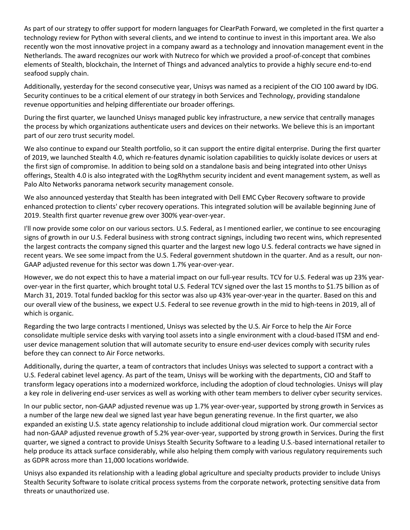As part of our strategy to offer support for modern languages for ClearPath Forward, we completed in the first quarter a technology review for Python with several clients, and we intend to continue to invest in this important area. We also recently won the most innovative project in a company award as a technology and innovation management event in the Netherlands. The award recognizes our work with Nutreco for which we provided a proof-of-concept that combines elements of Stealth, blockchain, the Internet of Things and advanced analytics to provide a highly secure end-to-end seafood supply chain.

Additionally, yesterday for the second consecutive year, Unisys was named as a recipient of the CIO 100 award by IDG. Security continues to be a critical element of our strategy in both Services and Technology, providing standalone revenue opportunities and helping differentiate our broader offerings.

During the first quarter, we launched Unisys managed public key infrastructure, a new service that centrally manages the process by which organizations authenticate users and devices on their networks. We believe this is an important part of our zero trust security model.

We also continue to expand our Stealth portfolio, so it can support the entire digital enterprise. During the first quarter of 2019, we launched Stealth 4.0, which re-features dynamic isolation capabilities to quickly isolate devices or users at the first sign of compromise. In addition to being sold on a standalone basis and being integrated into other Unisys offerings, Stealth 4.0 is also integrated with the LogRhythm security incident and event management system, as well as Palo Alto Networks panorama network security management console.

We also announced yesterday that Stealth has been integrated with Dell EMC Cyber Recovery software to provide enhanced protection to clients' cyber recovery operations. This integrated solution will be available beginning June of 2019. Stealth first quarter revenue grew over 300% year-over-year.

I'll now provide some color on our various sectors. U.S. Federal, as I mentioned earlier, we continue to see encouraging signs of growth in our U.S. Federal business with strong contract signings, including two recent wins, which represented the largest contracts the company signed this quarter and the largest new logo U.S. federal contracts we have signed in recent years. We see some impact from the U.S. Federal government shutdown in the quarter. And as a result, our non-GAAP adjusted revenue for this sector was down 1.7% year-over-year.

However, we do not expect this to have a material impact on our full-year results. TCV for U.S. Federal was up 23% yearover-year in the first quarter, which brought total U.S. Federal TCV signed over the last 15 months to \$1.75 billion as of March 31, 2019. Total funded backlog for this sector was also up 43% year-over-year in the quarter. Based on this and our overall view of the business, we expect U.S. Federal to see revenue growth in the mid to high-teens in 2019, all of which is organic.

Regarding the two large contracts I mentioned, Unisys was selected by the U.S. Air Force to help the Air Force consolidate multiple service desks with varying tool assets into a single environment with a cloud-based ITSM and enduser device management solution that will automate security to ensure end-user devices comply with security rules before they can connect to Air Force networks.

Additionally, during the quarter, a team of contractors that includes Unisys was selected to support a contract with a U.S. Federal cabinet level agency. As part of the team, Unisys will be working with the departments, CIO and Staff to transform legacy operations into a modernized workforce, including the adoption of cloud technologies. Unisys will play a key role in delivering end-user services as well as working with other team members to deliver cyber security services.

In our public sector, non-GAAP adjusted revenue was up 1.7% year-over-year, supported by strong growth in Services as a number of the large new deal we signed last year have begun generating revenue. In the first quarter, we also expanded an existing U.S. state agency relationship to include additional cloud migration work. Our commercial sector had non-GAAP adjusted revenue growth of 5.2% year-over-year, supported by strong growth in Services. During the first quarter, we signed a contract to provide Unisys Stealth Security Software to a leading U.S.-based international retailer to help produce its attack surface considerably, while also helping them comply with various regulatory requirements such as GDPR across more than 11,000 locations worldwide.

Unisys also expanded its relationship with a leading global agriculture and specialty products provider to include Unisys Stealth Security Software to isolate critical process systems from the corporate network, protecting sensitive data from threats or unauthorized use.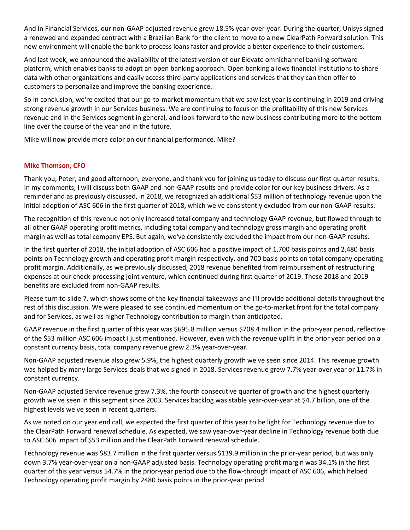And in Financial Services, our non-GAAP adjusted revenue grew 18.5% year-over-year. During the quarter, Unisys signed a renewed and expanded contract with a Brazilian Bank for the client to move to a new ClearPath Forward solution. This new environment will enable the bank to process loans faster and provide a better experience to their customers.

And last week, we announced the availability of the latest version of our Elevate omnichannel banking software platform, which enables banks to adopt an open banking approach. Open banking allows financial institutions to share data with other organizations and easily access third-party applications and services that they can then offer to customers to personalize and improve the banking experience.

So in conclusion, we're excited that our go-to-market momentum that we saw last year is continuing in 2019 and driving strong revenue growth in our Services business. We are continuing to focus on the profitability of this new Services revenue and in the Services segment in general, and look forward to the new business contributing more to the bottom line over the course of the year and in the future.

Mike will now provide more color on our financial performance. Mike?

### **Mike Thomson, CFO**

Thank you, Peter, and good afternoon, everyone, and thank you for joining us today to discuss our first quarter results. In my comments, I will discuss both GAAP and non-GAAP results and provide color for our key business drivers. As a reminder and as previously discussed, in 2018, we recognized an additional \$53 million of technology revenue upon the initial adoption of ASC 606 in the first quarter of 2018, which we've consistently excluded from our non-GAAP results.

The recognition of this revenue not only increased total company and technology GAAP revenue, but flowed through to all other GAAP operating profit metrics, including total company and technology gross margin and operating profit margin as well as total company EPS. But again, we've consistently excluded the impact from our non-GAAP results.

In the first quarter of 2018, the initial adoption of ASC 606 had a positive impact of 1,700 basis points and 2,480 basis points on Technology growth and operating profit margin respectively, and 700 basis points on total company operating profit margin. Additionally, as we previously discussed, 2018 revenue benefited from reimbursement of restructuring expenses at our check-processing joint venture, which continued during first quarter of 2019. These 2018 and 2019 benefits are excluded from non-GAAP results.

Please turn to slide 7, which shows some of the key financial takeaways and I'll provide additional details throughout the rest of this discussion. We were pleased to see continued momentum on the go-to-market front for the total company and for Services, as well as higher Technology contribution to margin than anticipated.

GAAP revenue in the first quarter of this year was \$695.8 million versus \$708.4 million in the prior-year period, reflective of the \$53 million ASC 606 impact I just mentioned. However, even with the revenue uplift in the prior year period on a constant currency basis, total company revenue grew 2.3% year-over-year.

Non-GAAP adjusted revenue also grew 5.9%, the highest quarterly growth we've seen since 2014. This revenue growth was helped by many large Services deals that we signed in 2018. Services revenue grew 7.7% year-over year or 11.7% in constant currency.

Non-GAAP adjusted Service revenue grew 7.3%, the fourth consecutive quarter of growth and the highest quarterly growth we've seen in this segment since 2003. Services backlog was stable year-over-year at \$4.7 billion, one of the highest levels we've seen in recent quarters.

As we noted on our year end call, we expected the first quarter of this year to be light for Technology revenue due to the ClearPath Forward renewal schedule. As expected, we saw year-over-year decline in Technology revenue both due to ASC 606 impact of \$53 million and the ClearPath Forward renewal schedule.

Technology revenue was \$83.7 million in the first quarter versus \$139.9 million in the prior-year period, but was only down 3.7% year-over-year on a non-GAAP adjusted basis. Technology operating profit margin was 34.1% in the first quarter of this year versus 54.7% in the prior-year period due to the flow-through impact of ASC 606, which helped Technology operating profit margin by 2480 basis points in the prior-year period.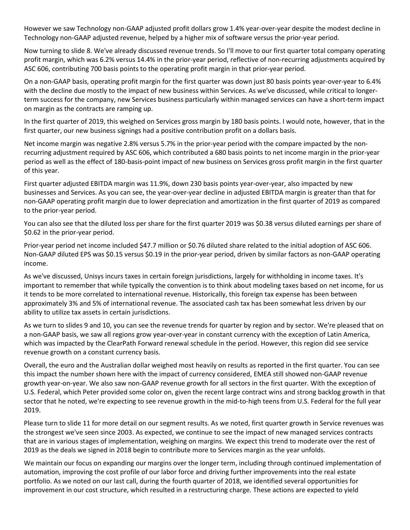However we saw Technology non-GAAP adjusted profit dollars grow 1.4% year-over-year despite the modest decline in Technology non-GAAP adjusted revenue, helped by a higher mix of software versus the prior-year period.

Now turning to slide 8. We've already discussed revenue trends. So I'll move to our first quarter total company operating profit margin, which was 6.2% versus 14.4% in the prior-year period, reflective of non-recurring adjustments acquired by ASC 606, contributing 700 basis points to the operating profit margin in that prior-year period.

On a non-GAAP basis, operating profit margin for the first quarter was down just 80 basis points year-over-year to 6.4% with the decline due mostly to the impact of new business within Services. As we've discussed, while critical to longerterm success for the company, new Services business particularly within managed services can have a short-term impact on margin as the contracts are ramping up.

In the first quarter of 2019, this weighed on Services gross margin by 180 basis points. I would note, however, that in the first quarter, our new business signings had a positive contribution profit on a dollars basis.

Net income margin was negative 2.8% versus 5.7% in the prior-year period with the compare impacted by the nonrecurring adjustment required by ASC 606, which contributed a 680 basis points to net income margin in the prior-year period as well as the effect of 180-basis-point impact of new business on Services gross profit margin in the first quarter of this year.

First quarter adjusted EBITDA margin was 11.9%, down 230 basis points year-over-year, also impacted by new businesses and Services. As you can see, the year-over-year decline in adjusted EBITDA margin is greater than that for non-GAAP operating profit margin due to lower depreciation and amortization in the first quarter of 2019 as compared to the prior-year period.

You can also see that the diluted loss per share for the first quarter 2019 was \$0.38 versus diluted earnings per share of \$0.62 in the prior-year period.

Prior-year period net income included \$47.7 million or \$0.76 diluted share related to the initial adoption of ASC 606. Non-GAAP diluted EPS was \$0.15 versus \$0.19 in the prior-year period, driven by similar factors as non-GAAP operating income.

As we've discussed, Unisys incurs taxes in certain foreign jurisdictions, largely for withholding in income taxes. It's important to remember that while typically the convention is to think about modeling taxes based on net income, for us it tends to be more correlated to international revenue. Historically, this foreign tax expense has been between approximately 3% and 5% of international revenue. The associated cash tax has been somewhat less driven by our ability to utilize tax assets in certain jurisdictions.

As we turn to slides 9 and 10, you can see the revenue trends for quarter by region and by sector. We're pleased that on a non-GAAP basis, we saw all regions grow year-over-year in constant currency with the exception of Latin America, which was impacted by the ClearPath Forward renewal schedule in the period. However, this region did see service revenue growth on a constant currency basis.

Overall, the euro and the Australian dollar weighed most heavily on results as reported in the first quarter. You can see this impact the number shown here with the impact of currency considered, EMEA still showed non-GAAP revenue growth year-on-year. We also saw non-GAAP revenue growth for all sectors in the first quarter. With the exception of U.S. Federal, which Peter provided some color on, given the recent large contract wins and strong backlog growth in that sector that he noted, we're expecting to see revenue growth in the mid-to-high teens from U.S. Federal for the full year 2019.

Please turn to slide 11 for more detail on our segment results. As we noted, first quarter growth in Service revenues was the strongest we've seen since 2003. As expected, we continue to see the impact of new managed services contracts that are in various stages of implementation, weighing on margins. We expect this trend to moderate over the rest of 2019 as the deals we signed in 2018 begin to contribute more to Services margin as the year unfolds.

We maintain our focus on expanding our margins over the longer term, including through continued implementation of automation, improving the cost profile of our labor force and driving further improvements into the real estate portfolio. As we noted on our last call, during the fourth quarter of 2018, we identified several opportunities for improvement in our cost structure, which resulted in a restructuring charge. These actions are expected to yield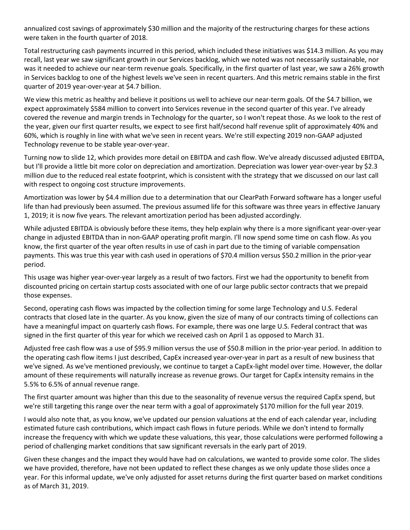annualized cost savings of approximately \$30 million and the majority of the restructuring charges for these actions were taken in the fourth quarter of 2018.

Total restructuring cash payments incurred in this period, which included these initiatives was \$14.3 million. As you may recall, last year we saw significant growth in our Services backlog, which we noted was not necessarily sustainable, nor was it needed to achieve our near-term revenue goals. Specifically, in the first quarter of last year, we saw a 26% growth in Services backlog to one of the highest levels we've seen in recent quarters. And this metric remains stable in the first quarter of 2019 year-over-year at \$4.7 billion.

We view this metric as healthy and believe it positions us well to achieve our near-term goals. Of the \$4.7 billion, we expect approximately \$584 million to convert into Services revenue in the second quarter of this year. I've already covered the revenue and margin trends in Technology for the quarter, so I won't repeat those. As we look to the rest of the year, given our first quarter results, we expect to see first half/second half revenue split of approximately 40% and 60%, which is roughly in line with what we've seen in recent years. We're still expecting 2019 non-GAAP adjusted Technology revenue to be stable year-over-year.

Turning now to slide 12, which provides more detail on EBITDA and cash flow. We've already discussed adjusted EBITDA, but I'll provide a little bit more color on depreciation and amortization. Depreciation was lower year-over-year by \$2.3 million due to the reduced real estate footprint, which is consistent with the strategy that we discussed on our last call with respect to ongoing cost structure improvements.

Amortization was lower by \$4.4 million due to a determination that our ClearPath Forward software has a longer useful life than had previously been assumed. The previous assumed life for this software was three years in effective January 1, 2019; it is now five years. The relevant amortization period has been adjusted accordingly.

While adjusted EBITDA is obviously before these items, they help explain why there is a more significant year-over-year change in adjusted EBITDA than in non-GAAP operating profit margin. I'll now spend some time on cash flow. As you know, the first quarter of the year often results in use of cash in part due to the timing of variable compensation payments. This was true this year with cash used in operations of \$70.4 million versus \$50.2 million in the prior-year period.

This usage was higher year-over-year largely as a result of two factors. First we had the opportunity to benefit from discounted pricing on certain startup costs associated with one of our large public sector contracts that we prepaid those expenses.

Second, operating cash flows was impacted by the collection timing for some large Technology and U.S. Federal contracts that closed late in the quarter. As you know, given the size of many of our contracts timing of collections can have a meaningful impact on quarterly cash flows. For example, there was one large U.S. Federal contract that was signed in the first quarter of this year for which we received cash on April 1 as opposed to March 31.

Adjusted free cash flow was a use of \$95.9 million versus the use of \$50.8 million in the prior-year period. In addition to the operating cash flow items I just described, CapEx increased year-over-year in part as a result of new business that we've signed. As we've mentioned previously, we continue to target a CapEx-light model over time. However, the dollar amount of these requirements will naturally increase as revenue grows. Our target for CapEx intensity remains in the 5.5% to 6.5% of annual revenue range.

The first quarter amount was higher than this due to the seasonality of revenue versus the required CapEx spend, but we're still targeting this range over the near term with a goal of approximately \$170 million for the full year 2019.

I would also note that, as you know, we've updated our pension valuations at the end of each calendar year, including estimated future cash contributions, which impact cash flows in future periods. While we don't intend to formally increase the frequency with which we update these valuations, this year, those calculations were performed following a period of challenging market conditions that saw significant reversals in the early part of 2019.

Given these changes and the impact they would have had on calculations, we wanted to provide some color. The slides we have provided, therefore, have not been updated to reflect these changes as we only update those slides once a year. For this informal update, we've only adjusted for asset returns during the first quarter based on market conditions as of March 31, 2019.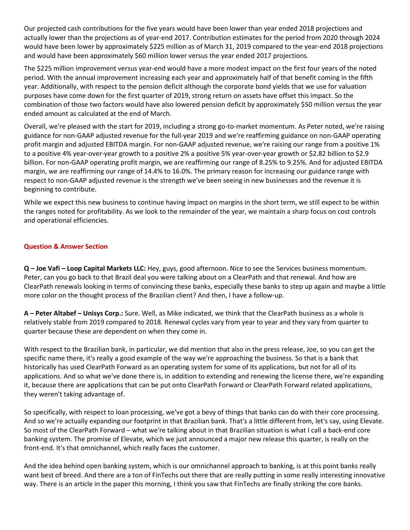Our projected cash contributions for the five years would have been lower than year ended 2018 projections and actually lower than the projections as of year-end 2017. Contribution estimates for the period from 2020 through 2024 would have been lower by approximately \$225 million as of March 31, 2019 compared to the year-end 2018 projections and would have been approximately \$60 million lower versus the year ended 2017 projections.

The \$225 million improvement versus year-end would have a more modest impact on the first four years of the noted period. With the annual improvement increasing each year and approximately half of that benefit coming in the fifth year. Additionally, with respect to the pension deficit although the corporate bond yields that we use for valuation purposes have come down for the first quarter of 2019, strong return on assets have offset this impact. So the combination of those two factors would have also lowered pension deficit by approximately \$50 million versus the year ended amount as calculated at the end of March.

Overall, we're pleased with the start for 2019, including a strong go-to-market momentum. As Peter noted, we're raising guidance for non-GAAP adjusted revenue for the full-year 2019 and we're reaffirming guidance on non-GAAP operating profit margin and adjusted EBITDA margin. For non-GAAP adjusted revenue, we're raising our range from a positive 1% to a positive 4% year-over-year growth to a positive 2% a positive 5% year-over-year growth or \$2.82 billion to \$2.9 billion. For non-GAAP operating profit margin, we are reaffirming our range of 8.25% to 9.25%. And for adjusted EBITDA margin, we are reaffirming our range of 14.4% to 16.0%. The primary reason for increasing our guidance range with respect to non-GAAP adjusted revenue is the strength we've been seeing in new businesses and the revenue it is beginning to contribute.

While we expect this new business to continue having impact on margins in the short term, we still expect to be within the ranges noted for profitability. As we look to the remainder of the year, we maintain a sharp focus on cost controls and operational efficiencies.

# **Question & Answer Section**

**Q – Joe Vafi – Loop Capital Markets LLC:** Hey, guys, good afternoon. Nice to see the Services business momentum. Peter, can you go back to that Brazil deal you were talking about on a ClearPath and that renewal. And how are ClearPath renewals looking in terms of convincing these banks, especially these banks to step up again and maybe a little more color on the thought process of the Brazilian client? And then, I have a follow-up.

**A – Peter Altabef – Unisys Corp.:** Sure. Well, as Mike indicated, we think that the ClearPath business as a whole is relatively stable from 2019 compared to 2018. Renewal cycles vary from year to year and they vary from quarter to quarter because these are dependent on when they come in.

With respect to the Brazilian bank, in particular, we did mention that also in the press release, Joe, so you can get the specific name there, it's really a good example of the way we're approaching the business. So that is a bank that historically has used ClearPath Forward as an operating system for some of its applications, but not for all of its applications. And so what we've done there is, in addition to extending and renewing the license there, we're expanding it, because there are applications that can be put onto ClearPath Forward or ClearPath Forward related applications, they weren't taking advantage of.

So specifically, with respect to loan processing, we've got a bevy of things that banks can do with their core processing. And so we're actually expanding our footprint in that Brazilian bank. That's a little different from, let's say, using Elevate. So most of the ClearPath Forward – what we're talking about in that Brazilian situation is what I call a back-end core banking system. The promise of Elevate, which we just announced a major new release this quarter, is really on the front-end. It's that omnichannel, which really faces the customer.

And the idea behind open banking system, which is our omnichannel approach to banking, is at this point banks really want best of breed. And there are a ton of FinTechs out there that are really putting in some really interesting innovative way. There is an article in the paper this morning, I think you saw that FinTechs are finally striking the core banks.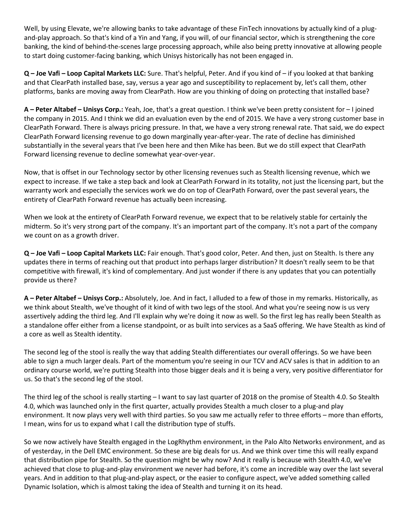Well, by using Elevate, we're allowing banks to take advantage of these FinTech innovations by actually kind of a plugand-play approach. So that's kind of a Yin and Yang, if you will, of our financial sector, which is strengthening the core banking, the kind of behind-the-scenes large processing approach, while also being pretty innovative at allowing people to start doing customer-facing banking, which Unisys historically has not been engaged in.

**Q – Joe Vafi – Loop Capital Markets LLC:** Sure. That's helpful, Peter. And if you kind of – if you looked at that banking and that ClearPath installed base, say, versus a year ago and susceptibility to replacement by, let's call them, other platforms, banks are moving away from ClearPath. How are you thinking of doing on protecting that installed base?

**A – Peter Altabef – Unisys Corp.:** Yeah, Joe, that's a great question. I think we've been pretty consistent for – I joined the company in 2015. And I think we did an evaluation even by the end of 2015. We have a very strong customer base in ClearPath Forward. There is always pricing pressure. In that, we have a very strong renewal rate. That said, we do expect ClearPath Forward licensing revenue to go down marginally year-after-year. The rate of decline has diminished substantially in the several years that I've been here and then Mike has been. But we do still expect that ClearPath Forward licensing revenue to decline somewhat year-over-year.

Now, that is offset in our Technology sector by other licensing revenues such as Stealth licensing revenue, which we expect to increase. If we take a step back and look at ClearPath Forward in its totality, not just the licensing part, but the warranty work and especially the services work we do on top of ClearPath Forward, over the past several years, the entirety of ClearPath Forward revenue has actually been increasing.

When we look at the entirety of ClearPath Forward revenue, we expect that to be relatively stable for certainly the midterm. So it's very strong part of the company. It's an important part of the company. It's not a part of the company we count on as a growth driver.

**Q – Joe Vafi – Loop Capital Markets LLC:** Fair enough. That's good color, Peter. And then, just on Stealth. Is there any updates there in terms of reaching out that product into perhaps larger distribution? It doesn't really seem to be that competitive with firewall, it's kind of complementary. And just wonder if there is any updates that you can potentially provide us there?

**A – Peter Altabef – Unisys Corp.:** Absolutely, Joe. And in fact, I alluded to a few of those in my remarks. Historically, as we think about Stealth, we've thought of it kind of with two legs of the stool. And what you're seeing now is us very assertively adding the third leg. And I'll explain why we're doing it now as well. So the first leg has really been Stealth as a standalone offer either from a license standpoint, or as built into services as a SaaS offering. We have Stealth as kind of a core as well as Stealth identity.

The second leg of the stool is really the way that adding Stealth differentiates our overall offerings. So we have been able to sign a much larger deals. Part of the momentum you're seeing in our TCV and ACV sales is that in addition to an ordinary course world, we're putting Stealth into those bigger deals and it is being a very, very positive differentiator for us. So that's the second leg of the stool.

The third leg of the school is really starting – I want to say last quarter of 2018 on the promise of Stealth 4.0. So Stealth 4.0, which was launched only in the first quarter, actually provides Stealth a much closer to a plug-and play environment. It now plays very well with third parties. So you saw me actually refer to three efforts – more than efforts, I mean, wins for us to expand what I call the distribution type of stuffs.

So we now actively have Stealth engaged in the LogRhythm environment, in the Palo Alto Networks environment, and as of yesterday, in the Dell EMC environment. So these are big deals for us. And we think over time this will really expand that distribution pipe for Stealth. So the question might be why now? And it really is because with Stealth 4.0, we've achieved that close to plug-and-play environment we never had before, it's come an incredible way over the last several years. And in addition to that plug-and-play aspect, or the easier to configure aspect, we've added something called Dynamic Isolation, which is almost taking the idea of Stealth and turning it on its head.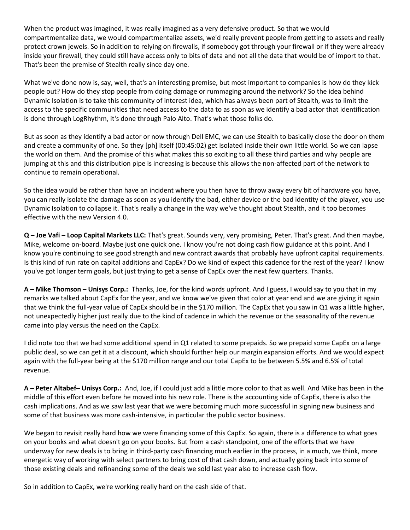When the product was imagined, it was really imagined as a very defensive product. So that we would compartmentalize data, we would compartmentalize assets, we'd really prevent people from getting to assets and really protect crown jewels. So in addition to relying on firewalls, if somebody got through your firewall or if they were already inside your firewall, they could still have access only to bits of data and not all the data that would be of import to that. That's been the premise of Stealth really since day one.

What we've done now is, say, well, that's an interesting premise, but most important to companies is how do they kick people out? How do they stop people from doing damage or rummaging around the network? So the idea behind Dynamic Isolation is to take this community of interest idea, which has always been part of Stealth, was to limit the access to the specific communities that need access to the data to as soon as we identify a bad actor that identification is done through LogRhythm, it's done through Palo Alto. That's what those folks do.

But as soon as they identify a bad actor or now through Dell EMC, we can use Stealth to basically close the door on them and create a community of one. So they [ph] itself (00:45:02) get isolated inside their own little world. So we can lapse the world on them. And the promise of this what makes this so exciting to all these third parties and why people are jumping at this and this distribution pipe is increasing is because this allows the non-affected part of the network to continue to remain operational.

So the idea would be rather than have an incident where you then have to throw away every bit of hardware you have, you can really isolate the damage as soon as you identify the bad, either device or the bad identity of the player, you use Dynamic Isolation to collapse it. That's really a change in the way we've thought about Stealth, and it too becomes effective with the new Version 4.0.

**Q – Joe Vafi – Loop Capital Markets LLC:** That's great. Sounds very, very promising, Peter. That's great. And then maybe, Mike, welcome on-board. Maybe just one quick one. I know you're not doing cash flow guidance at this point. And I know you're continuing to see good strength and new contract awards that probably have upfront capital requirements. Is this kind of run rate on capital additions and CapEx? Do we kind of expect this cadence for the rest of the year? I know you've got longer term goals, but just trying to get a sense of CapEx over the next few quarters. Thanks.

**A – Mike Thomson – Unisys Corp.:** Thanks, Joe, for the kind words upfront. And I guess, I would say to you that in my remarks we talked about CapEx for the year, and we know we've given that color at year end and we are giving it again that we think the full-year value of CapEx should be in the \$170 million. The CapEx that you saw in Q1 was a little higher, not unexpectedly higher just really due to the kind of cadence in which the revenue or the seasonality of the revenue came into play versus the need on the CapEx.

I did note too that we had some additional spend in Q1 related to some prepaids. So we prepaid some CapEx on a large public deal, so we can get it at a discount, which should further help our margin expansion efforts. And we would expect again with the full-year being at the \$170 million range and our total CapEx to be between 5.5% and 6.5% of total revenue.

**A – Peter Altabef– Unisys Corp.:** And, Joe, if I could just add a little more color to that as well. And Mike has been in the middle of this effort even before he moved into his new role. There is the accounting side of CapEx, there is also the cash implications. And as we saw last year that we were becoming much more successful in signing new business and some of that business was more cash-intensive, in particular the public sector business.

We began to revisit really hard how we were financing some of this CapEx. So again, there is a difference to what goes on your books and what doesn't go on your books. But from a cash standpoint, one of the efforts that we have underway for new deals is to bring in third-party cash financing much earlier in the process, in a much, we think, more energetic way of working with select partners to bring cost of that cash down, and actually going back into some of those existing deals and refinancing some of the deals we sold last year also to increase cash flow.

So in addition to CapEx, we're working really hard on the cash side of that.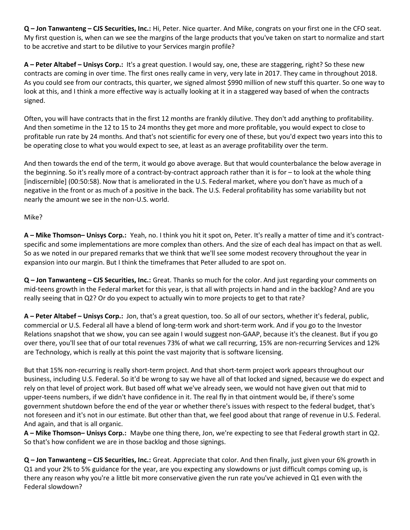**Q – Jon Tanwanteng – CJS Securities, Inc.:** Hi, Peter. Nice quarter. And Mike, congrats on your first one in the CFO seat. My first question is, when can we see the margins of the large products that you've taken on start to normalize and start to be accretive and start to be dilutive to your Services margin profile?

**A – Peter Altabef – Unisys Corp.:** It's a great question. I would say, one, these are staggering, right? So these new contracts are coming in over time. The first ones really came in very, very late in 2017. They came in throughout 2018. As you could see from our contracts, this quarter, we signed almost \$990 million of new stuff this quarter. So one way to look at this, and I think a more effective way is actually looking at it in a staggered way based of when the contracts signed.

Often, you will have contracts that in the first 12 months are frankly dilutive. They don't add anything to profitability. And then sometime in the 12 to 15 to 24 months they get more and more profitable, you would expect to close to profitable run rate by 24 months. And that's not scientific for every one of these, but you'd expect two years into this to be operating close to what you would expect to see, at least as an average profitability over the term.

And then towards the end of the term, it would go above average. But that would counterbalance the below average in the beginning. So it's really more of a contract-by-contract approach rather than it is for – to look at the whole thing [indiscernible] (00:50:58). Now that is ameliorated in the U.S. Federal market, where you don't have as much of a negative in the front or as much of a positive in the back. The U.S. Federal profitability has some variability but not nearly the amount we see in the non-U.S. world.

### Mike?

**A – Mike Thomson– Unisys Corp.:** Yeah, no. I think you hit it spot on, Peter. It's really a matter of time and it's contractspecific and some implementations are more complex than others. And the size of each deal has impact on that as well. So as we noted in our prepared remarks that we think that we'll see some modest recovery throughout the year in expansion into our margin. But I think the timeframes that Peter alluded to are spot on.

**Q – Jon Tanwanteng – CJS Securities, Inc.:** Great. Thanks so much for the color. And just regarding your comments on mid-teens growth in the Federal market for this year, is that all with projects in hand and in the backlog? And are you really seeing that in Q2? Or do you expect to actually win to more projects to get to that rate?

**A – Peter Altabef – Unisys Corp.:** Jon, that's a great question, too. So all of our sectors, whether it's federal, public, commercial or U.S. Federal all have a blend of long-term work and short-term work. And if you go to the Investor Relations snapshot that we show, you can see again I would suggest non-GAAP, because it's the cleanest. But if you go over there, you'll see that of our total revenues 73% of what we call recurring, 15% are non-recurring Services and 12% are Technology, which is really at this point the vast majority that is software licensing.

But that 15% non-recurring is really short-term project. And that short-term project work appears throughout our business, including U.S. Federal. So it'd be wrong to say we have all of that locked and signed, because we do expect and rely on that level of project work. But based off what we've already seen, we would not have given out that mid to upper-teens numbers, if we didn't have confidence in it. The real fly in that ointment would be, if there's some government shutdown before the end of the year or whether there's issues with respect to the federal budget, that's not foreseen and it's not in our estimate. But other than that, we feel good about that range of revenue in U.S. Federal. And again, and that is all organic.

**A – Mike Thomson– Unisys Corp.:** Maybe one thing there, Jon, we're expecting to see that Federal growth start in Q2. So that's how confident we are in those backlog and those signings.

**Q – Jon Tanwanteng – CJS Securities, Inc.:** Great. Appreciate that color. And then finally, just given your 6% growth in Q1 and your 2% to 5% guidance for the year, are you expecting any slowdowns or just difficult comps coming up, is there any reason why you're a little bit more conservative given the run rate you've achieved in Q1 even with the Federal slowdown?